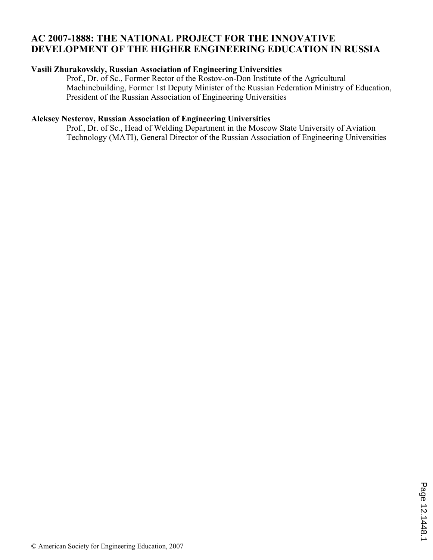# **AC 2007-1888: THE NATIONAL PROJECT FOR THE INNOVATIVE DEVELOPMENT OF THE HIGHER ENGINEERING EDUCATION IN RUSSIA**

### **Vasili Zhurakovskiy, Russian Association of Engineering Universities**

Prof., Dr. of Sc., Former Rector of the Rostov-on-Don Institute of the Agricultural Machinebuilding, Former 1st Deputy Minister of the Russian Federation Ministry of Education, President of the Russian Association of Engineering Universities

## **Aleksey Nesterov, Russian Association of Engineering Universities**

Prof., Dr. of Sc., Head of Welding Department in the Moscow State University of Aviation Technology (MATI), General Director of the Russian Association of Engineering Universities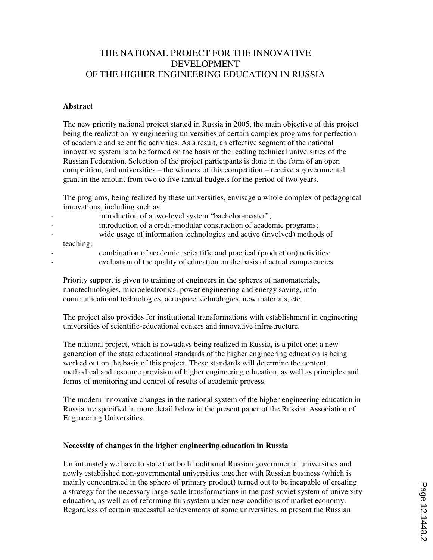## THE NATIONAL PROJECT FOR THE INNOVATIVE DEVELOPMENT OF THE HIGHER ENGINEERING EDUCATION IN RUSSIA

#### **Abstract**

The new priority national project started in Russia in 2005, the main objective of this project being the realization by engineering universities of certain complex programs for perfection of academic and scientific activities. As a result, an effective segment of the national innovative system is to be formed on the basis of the leading technical universities of the Russian Federation. Selection of the project participants is done in the form of an open competition, and universities – the winners of this competition – receive a governmental grant in the amount from two to five annual budgets for the period of two years.

The programs, being realized by these universities, envisage a whole complex of pedagogical innovations, including such as:

- introduction of a two-level system "bachelor-master";
- introduction of a credit-modular construction of academic programs;
- wide usage of information technologies and active (involved) methods of teaching;
- - combination of academic, scientific and practical (production) activities;
		- evaluation of the quality of education on the basis of actual competencies.

Priority support is given to training of engineers in the spheres of nanomaterials, nanotechnologies, microelectronics, power engineering and energy saving, infocommunicational technologies, aerospace technologies, new materials, etc.

The project also provides for institutional transformations with establishment in engineering universities of scientific-educational centers and innovative infrastructure.

The national project, which is nowadays being realized in Russia, is a pilot one; a new generation of the state educational standards of the higher engineering education is being worked out on the basis of this project. These standards will determine the content, methodical and resource provision of higher engineering education, as well as principles and forms of monitoring and control of results of academic process.

The modern innovative changes in the national system of the higher engineering education in Russia are specified in more detail below in the present paper of the Russian Association of Engineering Universities.

#### **Necessity of changes in the higher engineering education in Russia**

Unfortunately we have to state that both traditional Russian governmental universities and newly established non-governmental universities together with Russian business (which is mainly concentrated in the sphere of primary product) turned out to be incapable of creating a strategy for the necessary large-scale transformations in the post-soviet system of university education, as well as of reforming this system under new conditions of market economy. Regardless of certain successful achievements of some universities, at present the Russian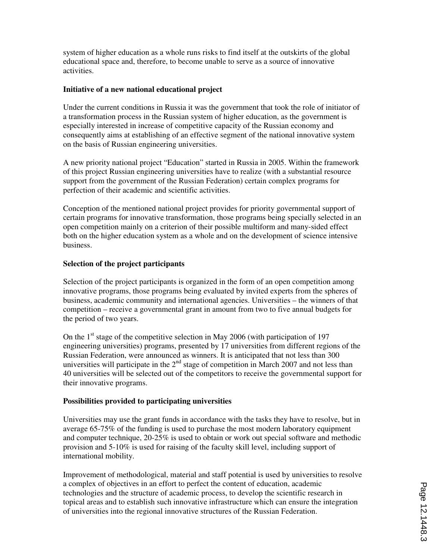system of higher education as a whole runs risks to find itself at the outskirts of the global educational space and, therefore, to become unable to serve as a source of innovative activities.

#### **Initiative of a new national educational project**

Under the current conditions in Russia it was the government that took the role of initiator of a transformation process in the Russian system of higher education, as the government is especially interested in increase of competitive capacity of the Russian economy and consequently aims at establishing of an effective segment of the national innovative system on the basis of Russian engineering universities.

A new priority national project "Education" started in Russia in 2005. Within the framework of this project Russian engineering universities have to realize (with a substantial resource support from the government of the Russian Federation) certain complex programs for perfection of their academic and scientific activities.

Conception of the mentioned national project provides for priority governmental support of certain programs for innovative transformation, those programs being specially selected in an open competition mainly on a criterion of their possible multiform and many-sided effect both on the higher education system as a whole and on the development of science intensive business.

### **Selection of the project participants**

Selection of the project participants is organized in the form of an open competition among innovative programs, those programs being evaluated by invited experts from the spheres of business, academic community and international agencies. Universities – the winners of that competition – receive a governmental grant in amount from two to five annual budgets for the period of two years.

On the  $1<sup>st</sup>$  stage of the competitive selection in May 2006 (with participation of 197 engineering universities) programs, presented by 17 universities from different regions of the Russian Federation, were announced as winners. It is anticipated that not less than 300 universities will participate in the  $2<sup>nd</sup>$  stage of competition in March 2007 and not less than 40 universities will be selected out of the competitors to receive the governmental support for their innovative programs.

#### **Possibilities provided to participating universities**

Universities may use the grant funds in accordance with the tasks they have to resolve, but in average 65-75% of the funding is used to purchase the most modern laboratory equipment and computer technique, 20-25% is used to obtain or work out special software and methodic provision and 5-10% is used for raising of the faculty skill level, including support of international mobility.

Improvement of methodological, material and staff potential is used by universities to resolve a complex of objectives in an effort to perfect the content of education, academic technologies and the structure of academic process, to develop the scientific research in topical areas and to establish such innovative infrastructure which can ensure the integration of universities into the regional innovative structures of the Russian Federation.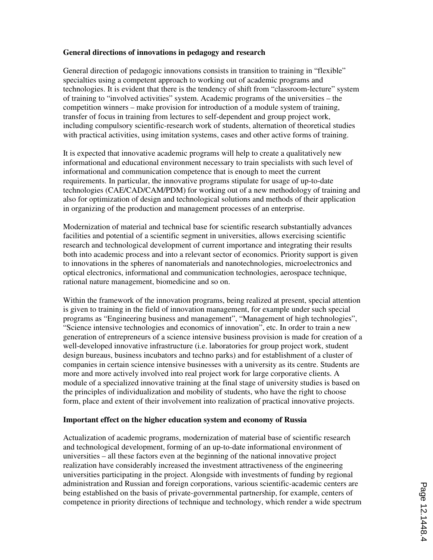### **General directions of innovations in pedagogy and research**

General direction of pedagogic innovations consists in transition to training in "flexible" specialties using a competent approach to working out of academic programs and technologies. It is evident that there is the tendency of shift from "classroom-lecture" system of training to "involved activities" system. Academic programs of the universities – the competition winners – make provision for introduction of a module system of training, transfer of focus in training from lectures to self-dependent and group project work, including compulsory scientific-research work of students, alternation of theoretical studies with practical activities, using imitation systems, cases and other active forms of training.

It is expected that innovative academic programs will help to create a qualitatively new informational and educational environment necessary to train specialists with such level of informational and communication competence that is enough to meet the current requirements. In particular, the innovative programs stipulate for usage of up-to-date technologies (CAE/CAD/CAM/PDM) for working out of a new methodology of training and also for optimization of design and technological solutions and methods of their application in organizing of the production and management processes of an enterprise.

Modernization of material and technical base for scientific research substantially advances facilities and potential of a scientific segment in universities, allows exercising scientific research and technological development of current importance and integrating their results both into academic process and into a relevant sector of economics. Priority support is given to innovations in the spheres of nanomaterials and nanotechnologies, microelectronics and optical electronics, informational and communication technologies, aerospace technique, rational nature management, biomedicine and so on.

Within the framework of the innovation programs, being realized at present, special attention is given to training in the field of innovation management, for example under such special programs as "Engineering business and management", "Management of high technologies", "Science intensive technologies and economics of innovation", etc. In order to train a new generation of entrepreneurs of a science intensive business provision is made for creation of a well-developed innovative infrastructure (i.e. laboratories for group project work, student design bureaus, business incubators and techno parks) and for establishment of a cluster of companies in certain science intensive businesses with a university as its centre. Students are more and more actively involved into real project work for large corporative clients. A module of a specialized innovative training at the final stage of university studies is based on the principles of individualization and mobility of students, who have the right to choose form, place and extent of their involvement into realization of practical innovative projects.

#### **Important effect on the higher education system and economy of Russia**

Actualization of academic programs, modernization of material base of scientific research and technological development, forming of an up-to-date informational environment of universities – all these factors even at the beginning of the national innovative project realization have considerably increased the investment attractiveness of the engineering universities participating in the project. Alongside with investments of funding by regional administration and Russian and foreign corporations, various scientific-academic centers are being established on the basis of private-governmental partnership, for example, centers of competence in priority directions of technique and technology, which render a wide spectrum